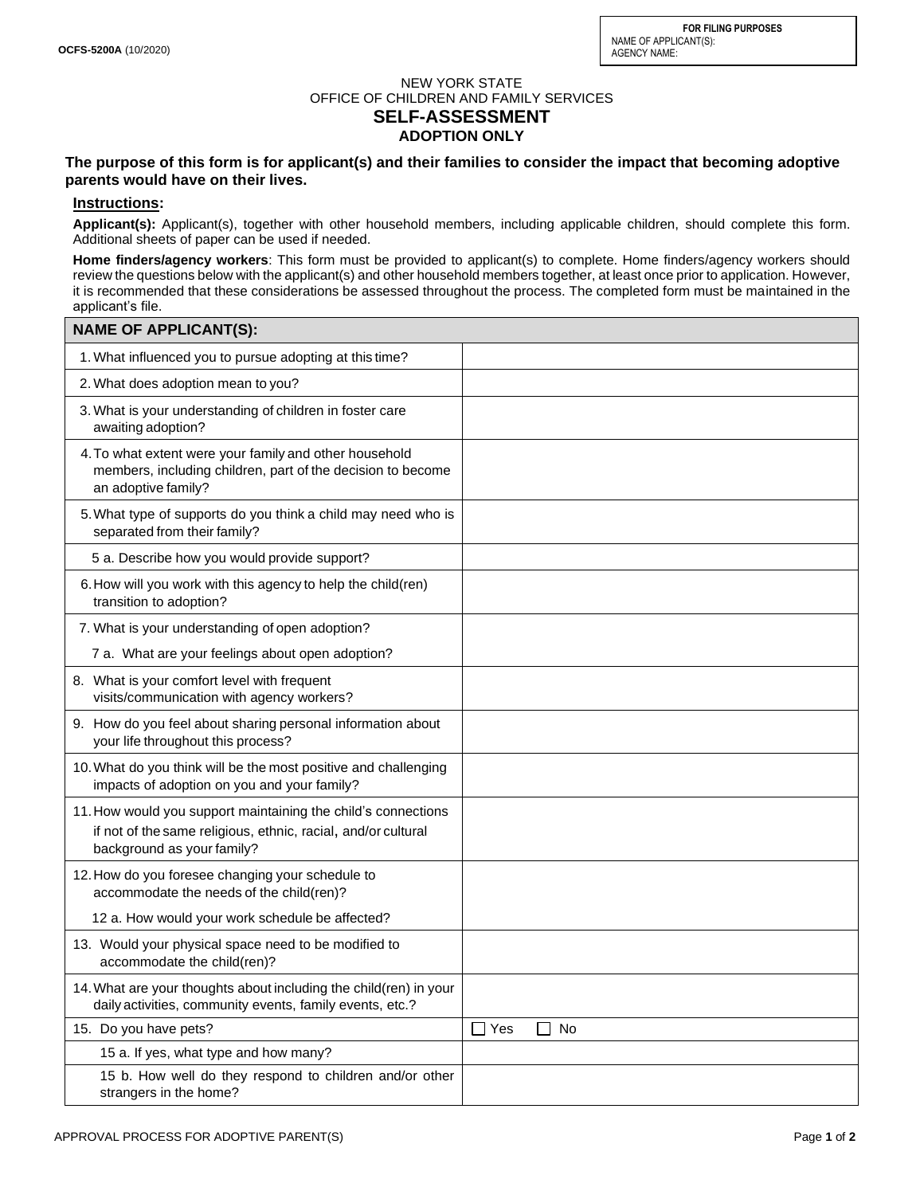**FOR FILING PURPOSES** NAME OF APPLICANT(S): AGENCY NAME:

## NEW YORK STATE OFFICE OF CHILDREN AND FAMILY SERVICES **SELF-ASSESSMENT ADOPTION ONLY**

**The purpose of this form is for applicant(s) and their families to consider the impact that becoming adoptive parents would have on their lives.** 

## **Instructions:**

**Applicant(s):** Applicant(s), together with other household members, including applicable children, should complete this form. Additional sheets of paper can be used if needed.

**Home finders/agency workers**: This form must be provided to applicant(s) to complete. Home finders/agency workers should review the questions below with the applicant(s) and other household members together, at least once prior to application. However, it is recommended that these considerations be assessed throughout the process. The completed form must be maintained in the applicant's file.

| <b>NAME OF APPLICANT(S):</b>                                                                                                                                 |                                  |
|--------------------------------------------------------------------------------------------------------------------------------------------------------------|----------------------------------|
| 1. What influenced you to pursue adopting at this time?                                                                                                      |                                  |
| 2. What does adoption mean to you?                                                                                                                           |                                  |
| 3. What is your understanding of children in foster care<br>awaiting adoption?                                                                               |                                  |
| 4. To what extent were your family and other household<br>members, including children, part of the decision to become<br>an adoptive family?                 |                                  |
| 5. What type of supports do you think a child may need who is<br>separated from their family?                                                                |                                  |
| 5 a. Describe how you would provide support?                                                                                                                 |                                  |
| 6. How will you work with this agency to help the child(ren)<br>transition to adoption?                                                                      |                                  |
| 7. What is your understanding of open adoption?                                                                                                              |                                  |
| 7 a. What are your feelings about open adoption?                                                                                                             |                                  |
| 8. What is your comfort level with frequent<br>visits/communication with agency workers?                                                                     |                                  |
| 9. How do you feel about sharing personal information about<br>your life throughout this process?                                                            |                                  |
| 10. What do you think will be the most positive and challenging<br>impacts of adoption on you and your family?                                               |                                  |
| 11. How would you support maintaining the child's connections<br>if not of the same religious, ethnic, racial, and/or cultural<br>background as your family? |                                  |
| 12. How do you foresee changing your schedule to<br>accommodate the needs of the child(ren)?                                                                 |                                  |
| 12 a. How would your work schedule be affected?                                                                                                              |                                  |
| 13. Would your physical space need to be modified to<br>accommodate the child(ren)?                                                                          |                                  |
| 14. What are your thoughts about including the child(ren) in your<br>daily activities, community events, family events, etc.?                                |                                  |
| 15. Do you have pets?                                                                                                                                        | $\Box$ Yes<br>$\mathsf{L}$<br>No |
| 15 a. If yes, what type and how many?                                                                                                                        |                                  |
| 15 b. How well do they respond to children and/or other<br>strangers in the home?                                                                            |                                  |